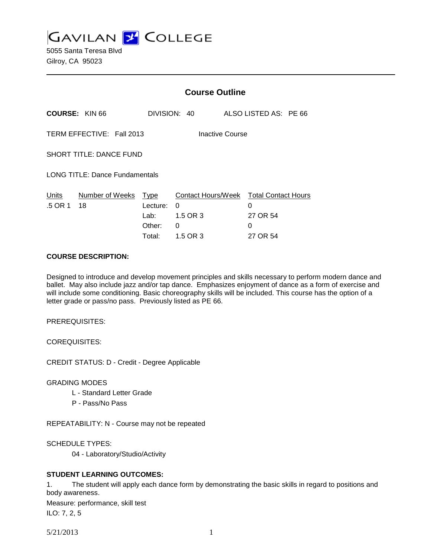**GAVILAN 2 COLLEGE** 

5055 Santa Teresa Blvd Gilroy, CA 95023

|                                              |                                       | <b>Course Outline</b> |                                             |  |                       |  |
|----------------------------------------------|---------------------------------------|-----------------------|---------------------------------------------|--|-----------------------|--|
|                                              | <b>COURSE: KIN 66</b>                 |                       | DIVISION: 40                                |  | ALSO LISTED AS: PE 66 |  |
| TERM EFFECTIVE: Fall 2013<br>Inactive Course |                                       |                       |                                             |  |                       |  |
|                                              | SHORT TITLE: DANCE FUND               |                       |                                             |  |                       |  |
|                                              | <b>LONG TITLE: Dance Fundamentals</b> |                       |                                             |  |                       |  |
| Units<br>.5 OR 1                             | Number of Weeks<br>18                 | Type<br>Lecture:      | Contact Hours/Week Total Contact Hours<br>0 |  | 0                     |  |
|                                              |                                       | Lab:                  | 1.5 OR 3                                    |  | 27 OR 54              |  |
|                                              |                                       | Other:                | 0                                           |  | 0                     |  |
|                                              |                                       | Total:                | 1.5 OR 3                                    |  | 27 OR 54              |  |

#### **COURSE DESCRIPTION:**

Designed to introduce and develop movement principles and skills necessary to perform modern dance and ballet. May also include jazz and/or tap dance. Emphasizes enjoyment of dance as a form of exercise and will include some conditioning. Basic choreography skills will be included. This course has the option of a letter grade or pass/no pass. Previously listed as PE 66.

PREREQUISITES:

COREQUISITES:

CREDIT STATUS: D - Credit - Degree Applicable

GRADING MODES

- L Standard Letter Grade
- P Pass/No Pass

REPEATABILITY: N - Course may not be repeated

SCHEDULE TYPES:

04 - Laboratory/Studio/Activity

# **STUDENT LEARNING OUTCOMES:**

1. The student will apply each dance form by demonstrating the basic skills in regard to positions and body awareness.

Measure: performance, skill test

ILO: 7, 2, 5

5/21/2013 1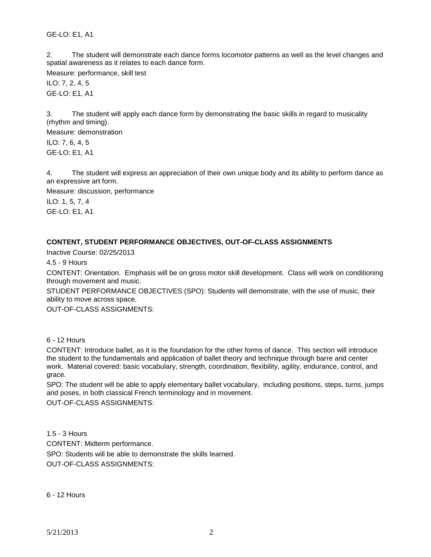GE-LO: E1, A1

2. The student will demonstrate each dance forms locomotor patterns as well as the level changes and spatial awareness as it relates to each dance form.

Measure: performance, skill test

ILO: 7, 2, 4, 5 GE-LO: E1, A1

3. The student will apply each dance form by demonstrating the basic skills in regard to musicality (rhythm and timing).

Measure: demonstration

ILO: 7, 6, 4, 5 GE-LO: E1, A1

4. The student will express an appreciation of their own unique body and its ability to perform dance as an expressive art form.

Measure: discussion, performance

ILO: 1, 5, 7, 4 GE-LO: E1, A1

# **CONTENT, STUDENT PERFORMANCE OBJECTIVES, OUT-OF-CLASS ASSIGNMENTS**

Inactive Course: 02/25/2013

4.5 - 9 Hours

CONTENT: Orientation. Emphasis will be on gross motor skill development. Class will work on conditioning through movement and music.

STUDENT PERFORMANCE OBJECTIVES (SPO): Students will demonstrate, with the use of music, their ability to move across space.

OUT-OF-CLASS ASSIGNMENTS:

# 6 - 12 Hours

CONTENT: Introduce ballet, as it is the foundation for the other forms of dance. This section will introduce the student to the fundamentals and application of ballet theory and technique through barre and center work. Material covered: basic vocabulary, strength, coordination, flexibility, agility, endurance, control, and grace.

SPO: The student will be able to apply elementary ballet vocabulary, including positions, steps, turns, jumps and poses, in both classical French terminology and in movement.

OUT-OF-CLASS ASSIGNMENTS:

1.5 - 3 Hours CONTENT: Midterm performance. SPO: Students will be able to demonstrate the skills learned. OUT-OF-CLASS ASSIGNMENTS:

6 - 12 Hours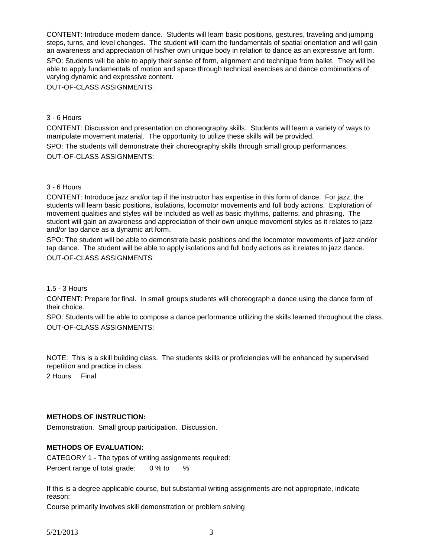CONTENT: Introduce modern dance. Students will learn basic positions, gestures, traveling and jumping steps, turns, and level changes. The student will learn the fundamentals of spatial orientation and will gain an awareness and appreciation of his/her own unique body in relation to dance as an expressive art form. SPO: Students will be able to apply their sense of form, alignment and technique from ballet. They will be able to apply fundamentals of motion and space through technical exercises and dance combinations of varying dynamic and expressive content.

OUT-OF-CLASS ASSIGNMENTS:

## 3 - 6 Hours

CONTENT: Discussion and presentation on choreography skills. Students will learn a variety of ways to manipulate movement material. The opportunity to utilize these skills will be provided.

SPO: The students will demonstrate their choreography skills through small group performances. OUT-OF-CLASS ASSIGNMENTS:

## 3 - 6 Hours

CONTENT: Introduce jazz and/or tap if the instructor has expertise in this form of dance. For jazz, the students will learn basic positions, isolations, locomotor movements and full body actions. Exploration of movement qualities and styles will be included as well as basic rhythms, patterns, and phrasing. The student will gain an awareness and appreciation of their own unique movement styles as it relates to jazz and/or tap dance as a dynamic art form.

SPO: The student will be able to demonstrate basic positions and the locomotor movements of jazz and/or tap dance. The student will be able to apply isolations and full body actions as it relates to jazz dance. OUT-OF-CLASS ASSIGNMENTS:

#### 1.5 - 3 Hours

CONTENT: Prepare for final. In small groups students will choreograph a dance using the dance form of their choice.

SPO: Students will be able to compose a dance performance utilizing the skills learned throughout the class. OUT-OF-CLASS ASSIGNMENTS:

NOTE: This is a skill building class. The students skills or proficiencies will be enhanced by supervised repetition and practice in class.

2 Hours Final

#### **METHODS OF INSTRUCTION:**

Demonstration. Small group participation. Discussion.

#### **METHODS OF EVALUATION:**

CATEGORY 1 - The types of writing assignments required: Percent range of total grade: 0 % to %

If this is a degree applicable course, but substantial writing assignments are not appropriate, indicate reason:

Course primarily involves skill demonstration or problem solving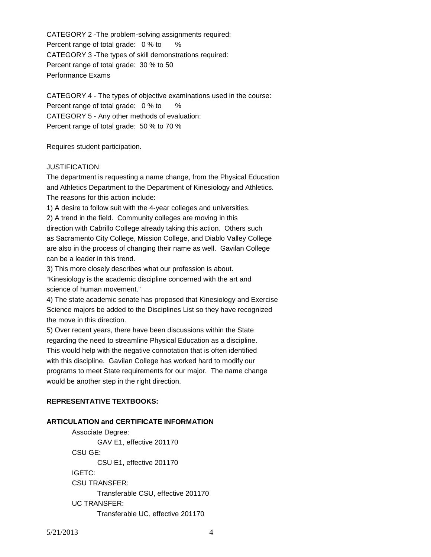CATEGORY 2 -The problem-solving assignments required: Percent range of total grade: 0 % to % CATEGORY 3 -The types of skill demonstrations required: Percent range of total grade: 30 % to 50 Performance Exams

CATEGORY 4 - The types of objective examinations used in the course: Percent range of total grade: 0 % to % CATEGORY 5 - Any other methods of evaluation: Percent range of total grade: 50 % to 70 %

Requires student participation.

## JUSTIFICATION:

The department is requesting a name change, from the Physical Education and Athletics Department to the Department of Kinesiology and Athletics. The reasons for this action include:

1) A desire to follow suit with the 4-year colleges and universities.

2) A trend in the field. Community colleges are moving in this

direction with Cabrillo College already taking this action. Others such as Sacramento City College, Mission College, and Diablo Valley College are also in the process of changing their name as well. Gavilan College can be a leader in this trend.

3) This more closely describes what our profession is about.

"Kinesiology is the academic discipline concerned with the art and science of human movement."

4) The state academic senate has proposed that Kinesiology and Exercise Science majors be added to the Disciplines List so they have recognized the move in this direction.

5) Over recent years, there have been discussions within the State regarding the need to streamline Physical Education as a discipline. This would help with the negative connotation that is often identified with this discipline. Gavilan College has worked hard to modify our programs to meet State requirements for our major. The name change would be another step in the right direction.

# **REPRESENTATIVE TEXTBOOKS:**

## **ARTICULATION and CERTIFICATE INFORMATION**

Associate Degree: GAV E1, effective 201170 CSU GE: CSU E1, effective 201170 IGETC: CSU TRANSFER: Transferable CSU, effective 201170 UC TRANSFER: Transferable UC, effective 201170